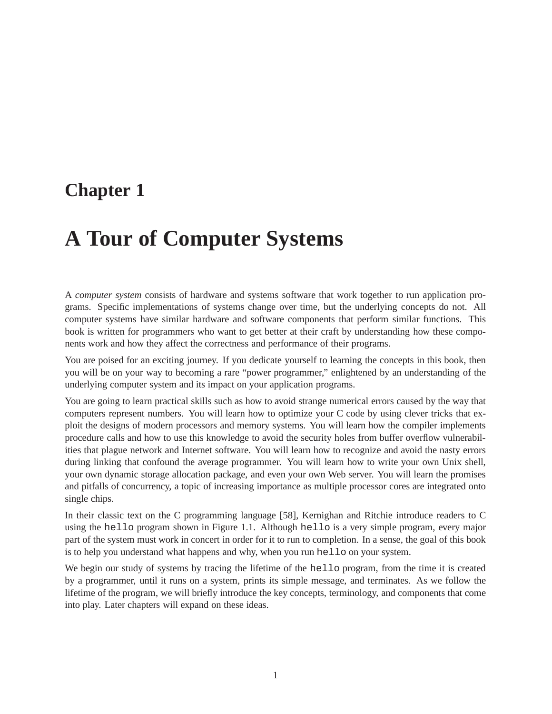# **Chapter 1**

# **A Tour of Computer Systems**

A *computer system* consists of hardware and systems software that work together to run application programs. Specific implementations of systems change over time, but the underlying concepts do not. All computer systems have similar hardware and software components that perform similar functions. This book is written for programmers who want to get better at their craft by understanding how these components work and how they affect the correctness and performance of their programs.

You are poised for an exciting journey. If you dedicate yourself to learning the concepts in this book, then you will be on your way to becoming a rare "power programmer," enlightened by an understanding of the underlying computer system and its impact on your application programs.

You are going to learn practical skills such as how to avoid strange numerical errors caused by the way that computers represent numbers. You will learn how to optimize your C code by using clever tricks that exploit the designs of modern processors and memory systems. You will learn how the compiler implements procedure calls and how to use this knowledge to avoid the security holes from buffer overflow vulnerabilities that plague network and Internet software. You will learn how to recognize and avoid the nasty errors during linking that confound the average programmer. You will learn how to write your own Unix shell, your own dynamic storage allocation package, and even your own Web server. You will learn the promises and pitfalls of concurrency, a topic of increasing importance as multiple processor cores are integrated onto single chips.

In their classic text on the C programming language [58], Kernighan and Ritchie introduce readers to C using the hello program shown in Figure 1.1. Although hello is a very simple program, every major part of the system must work in concert in order for it to run to completion. In a sense, the goal of this book is to help you understand what happens and why, when you run hello on your system.

We begin our study of systems by tracing the lifetime of the hello program, from the time it is created by a programmer, until it runs on a system, prints its simple message, and terminates. As we follow the lifetime of the program, we will briefly introduce the key concepts, terminology, and components that come into play. Later chapters will expand on these ideas.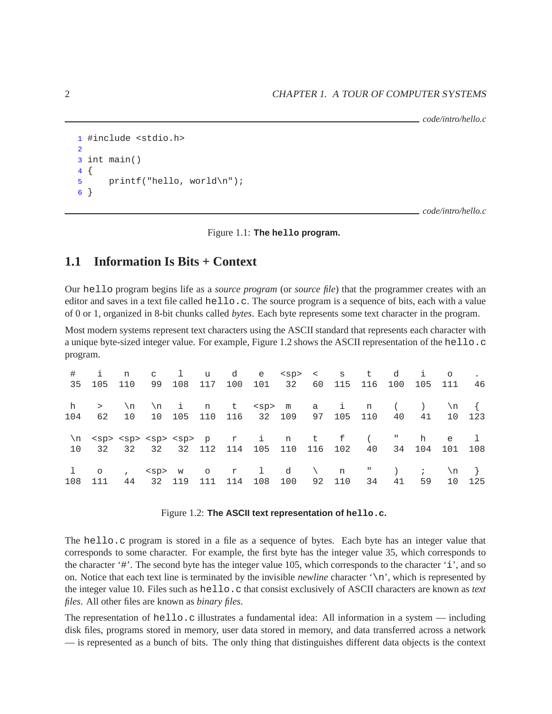*code/intro/hello.c*

```
1 #include <stdio.h>
\mathcal{L}3 int main()
4 {
5 printf("hello, world\n");
6 }
```
*code/intro/hello.c*

#### Figure 1.1: **The hello program.**

# **1.1 Information Is Bits + Context**

Our hello program begins life as a *source program* (or *source file*) that the programmer creates with an editor and saves in a text file called hello.c. The source program is a sequence of bits, each with a value of 0 or 1, organized in 8-bit chunks called *bytes*. Each byte represents some text character in the program.

Most modern systems represent text characters using the ASCII standard that represents each character with a unique byte-sized integer value. For example, Figure 1.2 shows the ASCII representation of the hello.c program.

| #       |            |  |  | include <sp><s tdi<="" th=""><th></th><th></th><th></th><th><math>\overline{\phantom{0}}</math></th><th></th></s></sp> |  |  |    | $\overline{\phantom{0}}$ |        |
|---------|------------|--|--|------------------------------------------------------------------------------------------------------------------------|--|--|----|--------------------------|--------|
|         | 35 105 110 |  |  | 99 108 117 100 101 32 60 115 116 100 105 111                                                                           |  |  |    |                          | 46     |
|         |            |  |  | h > $\n\langle n \rangle$ int <sp>main () <math>\langle n \rangle</math></sp>                                          |  |  |    |                          |        |
|         |            |  |  | 104 62 10 10 105 110 116 32 109 97 105 110 40 41 10 123                                                                |  |  |    |                          |        |
|         |            |  |  | \n <sp> <sp> <sp> <sp> <sp> &gt; p r i n t f ( " h e l</sp></sp></sp></sp></sp>                                        |  |  |    |                          |        |
|         |            |  |  | 10 32 32 32 32 112 114 105 110 116 102 40 34 104 101 108                                                               |  |  |    |                          |        |
| $\perp$ | $\circ$    |  |  | , <sp> w o r l d \ n " ) ; \n }</sp>                                                                                   |  |  |    |                          |        |
| 108 111 |            |  |  | 44 32 119 111 114 108 100 92 110 34 41                                                                                 |  |  | 59 |                          | 10 125 |

### Figure 1.2: **The ASCII text representation of hello.c.**

The hello.c program is stored in a file as a sequence of bytes. Each byte has an integer value that corresponds to some character. For example, the first byte has the integer value 35, which corresponds to the character '#'. The second byte has the integer value 105, which corresponds to the character 'i', and so on. Notice that each text line is terminated by the invisible *newline* character '\n', which is represented by the integer value 10. Files such as hello.c that consist exclusively of ASCII characters are known as *text files*. All other files are known as *binary files*.

The representation of hello.c illustrates a fundamental idea: All information in a system — including disk files, programs stored in memory, user data stored in memory, and data transferred across a network — is represented as a bunch of bits. The only thing that distinguishes different data objects is the context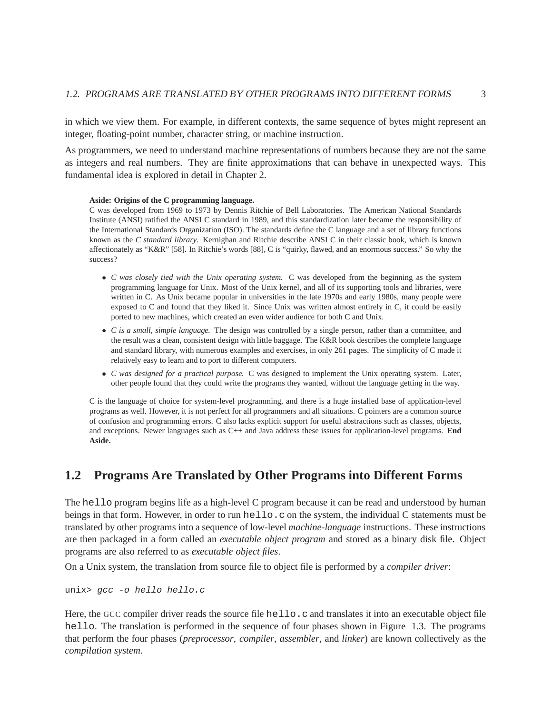in which we view them. For example, in different contexts, the same sequence of bytes might represent an integer, floating-point number, character string, or machine instruction.

As programmers, we need to understand machine representations of numbers because they are not the same as integers and real numbers. They are finite approximations that can behave in unexpected ways. This fundamental idea is explored in detail in Chapter 2.

#### **Aside: Origins of the C programming language.**

C was developed from 1969 to 1973 by Dennis Ritchie of Bell Laboratories. The American National Standards Institute (ANSI) ratified the ANSI C standard in 1989, and this standardization later became the responsibility of the International Standards Organization (ISO). The standards define the C language and a set of library functions known as the *C standard library*. Kernighan and Ritchie describe ANSI C in their classic book, which is known affectionately as "K&R" [58]. In Ritchie's words [88], C is "quirky, flawed, and an enormous success." So why the success?

- *C was closely tied with the Unix operating system.* C was developed from the beginning as the system programming language for Unix. Most of the Unix kernel, and all of its supporting tools and libraries, were written in C. As Unix became popular in universities in the late 1970s and early 1980s, many people were exposed to C and found that they liked it. Since Unix was written almost entirely in C, it could be easily ported to new machines, which created an even wider audience for both C and Unix.
- *C is a small, simple language.* The design was controlled by a single person, rather than a committee, and the result was a clean, consistent design with little baggage. The K&R book describes the complete language and standard library, with numerous examples and exercises, in only 261 pages. The simplicity of C made it relatively easy to learn and to port to different computers.
- *C was designed for a practical purpose.* C was designed to implement the Unix operating system. Later, other people found that they could write the programs they wanted, without the language getting in the way.

C is the language of choice for system-level programming, and there is a huge installed base of application-level programs as well. However, it is not perfect for all programmers and all situations. C pointers are a common source of confusion and programming errors. C also lacks explicit support for useful abstractions such as classes, objects, and exceptions. Newer languages such as C++ and Java address these issues for application-level programs. **End Aside.**

# **1.2 Programs Are Translated by Other Programs into Different Forms**

The hello program begins life as a high-level C program because it can be read and understood by human beings in that form. However, in order to run hello.c on the system, the individual C statements must be translated by other programs into a sequence of low-level *machine-language* instructions. These instructions are then packaged in a form called an *executable object program* and stored as a binary disk file. Object programs are also referred to as *executable object files*.

On a Unix system, the translation from source file to object file is performed by a *compiler driver*:

unix> gcc -o hello hello.c

Here, the GCC compiler driver reads the source file hello.c and translates it into an executable object file hello. The translation is performed in the sequence of four phases shown in Figure 1.3. The programs that perform the four phases (*preprocessor*, *compiler*, *assembler*, and *linker*) are known collectively as the *compilation system*.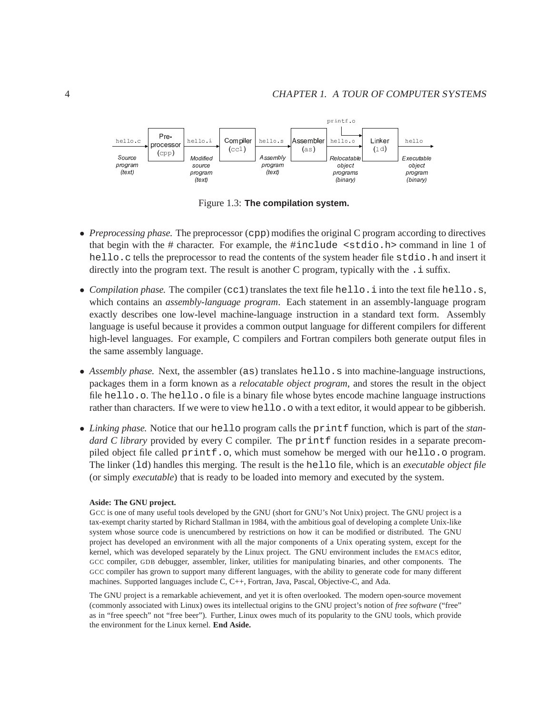

Figure 1.3: **The compilation system.**

- *Preprocessing phase*. The preprocessor (cpp) modifies the original C program according to directives that begin with the # character. For example, the #include <stdio.h> command in line 1 of hello.c tells the preprocessor to read the contents of the system header file stdio.h and insert it directly into the program text. The result is another C program, typically with the  $\therefore$  i suffix.
- *Compilation phase.* The compiler (cc1) translates the text file hello. i into the text file hello.s, which contains an *assembly-language program*. Each statement in an assembly-language program exactly describes one low-level machine-language instruction in a standard text form. Assembly language is useful because it provides a common output language for different compilers for different high-level languages. For example, C compilers and Fortran compilers both generate output files in the same assembly language.
- *Assembly phase.* Next, the assembler (as) translates hello.s into machine-language instructions, packages them in a form known as a *relocatable object program*, and stores the result in the object file hello.o. The hello.o file is a binary file whose bytes encode machine language instructions rather than characters. If we were to view hello.  $\circ$  with a text editor, it would appear to be gibberish.
- *Linking phase.* Notice that our hello program calls the print function, which is part of the *standard C library* provided by every C compiler. The printf function resides in a separate precompiled object file called printf.o, which must somehow be merged with our hello.o program. The linker (ld) handles this merging. The result is the hello file, which is an *executable object file* (or simply *executable*) that is ready to be loaded into memory and executed by the system.

#### **Aside: The GNU project.**

GCC is one of many useful tools developed by the GNU (short for GNU's Not Unix) project. The GNU project is a tax-exempt charity started by Richard Stallman in 1984, with the ambitious goal of developing a complete Unix-like system whose source code is unencumbered by restrictions on how it can be modified or distributed. The GNU project has developed an environment with all the major components of a Unix operating system, except for the kernel, which was developed separately by the Linux project. The GNU environment includes the EMACS editor, GCC compiler, GDB debugger, assembler, linker, utilities for manipulating binaries, and other components. The GCC compiler has grown to support many different languages, with the ability to generate code for many different machines. Supported languages include C, C++, Fortran, Java, Pascal, Objective-C, and Ada.

The GNU project is a remarkable achievement, and yet it is often overlooked. The modern open-source movement (commonly associated with Linux) owes its intellectual origins to the GNU project's notion of *free software* ("free" as in "free speech" not "free beer"). Further, Linux owes much of its popularity to the GNU tools, which provide the environment for the Linux kernel. **End Aside.**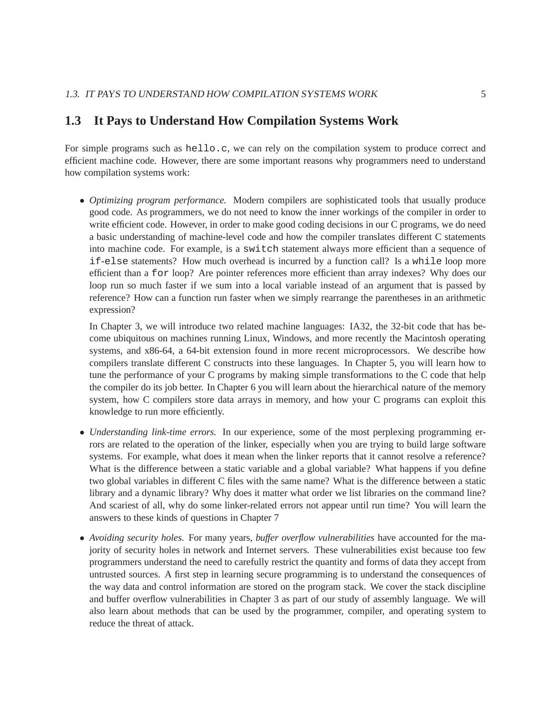# **1.3 It Pays to Understand How Compilation Systems Work**

For simple programs such as hello.c, we can rely on the compilation system to produce correct and efficient machine code. However, there are some important reasons why programmers need to understand how compilation systems work:

• *Optimizing program performance.* Modern compilers are sophisticated tools that usually produce good code. As programmers, we do not need to know the inner workings of the compiler in order to write efficient code. However, in order to make good coding decisions in our C programs, we do need a basic understanding of machine-level code and how the compiler translates different C statements into machine code. For example, is a switch statement always more efficient than a sequence of if-else statements? How much overhead is incurred by a function call? Is a while loop more efficient than a for loop? Are pointer references more efficient than array indexes? Why does our loop run so much faster if we sum into a local variable instead of an argument that is passed by reference? How can a function run faster when we simply rearrange the parentheses in an arithmetic expression?

In Chapter 3, we will introduce two related machine languages: IA32, the 32-bit code that has become ubiquitous on machines running Linux, Windows, and more recently the Macintosh operating systems, and x86-64, a 64-bit extension found in more recent microprocessors. We describe how compilers translate different C constructs into these languages. In Chapter 5, you will learn how to tune the performance of your C programs by making simple transformations to the C code that help the compiler do its job better. In Chapter 6 you will learn about the hierarchical nature of the memory system, how C compilers store data arrays in memory, and how your C programs can exploit this knowledge to run more efficiently.

- *Understanding link-time errors.* In our experience, some of the most perplexing programming errors are related to the operation of the linker, especially when you are trying to build large software systems. For example, what does it mean when the linker reports that it cannot resolve a reference? What is the difference between a static variable and a global variable? What happens if you define two global variables in different C files with the same name? What is the difference between a static library and a dynamic library? Why does it matter what order we list libraries on the command line? And scariest of all, why do some linker-related errors not appear until run time? You will learn the answers to these kinds of questions in Chapter 7
- *Avoiding security holes.* For many years, *buffer overflow vulnerabilities* have accounted for the majority of security holes in network and Internet servers. These vulnerabilities exist because too few programmers understand the need to carefully restrict the quantity and forms of data they accept from untrusted sources. A first step in learning secure programming is to understand the consequences of the way data and control information are stored on the program stack. We cover the stack discipline and buffer overflow vulnerabilities in Chapter 3 as part of our study of assembly language. We will also learn about methods that can be used by the programmer, compiler, and operating system to reduce the threat of attack.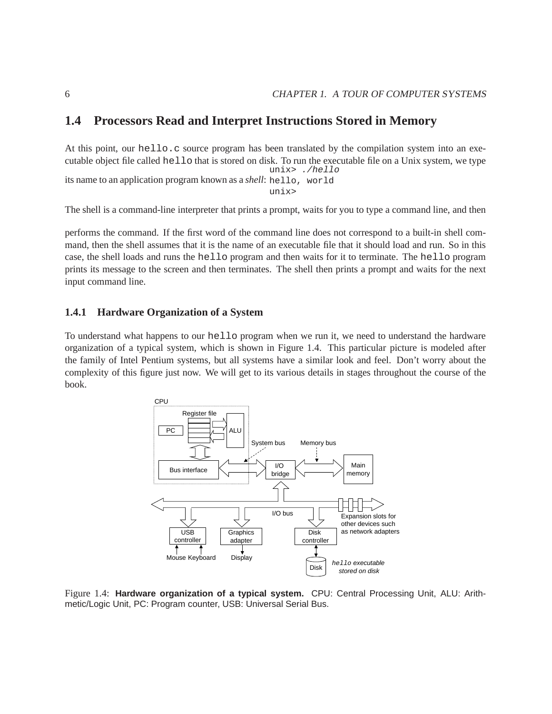# **1.4 Processors Read and Interpret Instructions Stored in Memory**

At this point, our hello.c source program has been translated by the compilation system into an executable object file called hello that is stored on disk. To run the executable file on a Unix system, we type its name to an application program known as a *shell*: hello, world unix> ./hello unix>

The shell is a command-line interpreter that prints a prompt, waits for you to type a command line, and then

performs the command. If the first word of the command line does not correspond to a built-in shell command, then the shell assumes that it is the name of an executable file that it should load and run. So in this case, the shell loads and runs the hello program and then waits for it to terminate. The hello program prints its message to the screen and then terminates. The shell then prints a prompt and waits for the next input command line.

# **1.4.1 Hardware Organization of a System**

To understand what happens to our hello program when we run it, we need to understand the hardware organization of a typical system, which is shown in Figure 1.4. This particular picture is modeled after the family of Intel Pentium systems, but all systems have a similar look and feel. Don't worry about the complexity of this figure just now. We will get to its various details in stages throughout the course of the book.



Figure 1.4: **Hardware organization of a typical system.** CPU: Central Processing Unit, ALU: Arithmetic/Logic Unit, PC: Program counter, USB: Universal Serial Bus.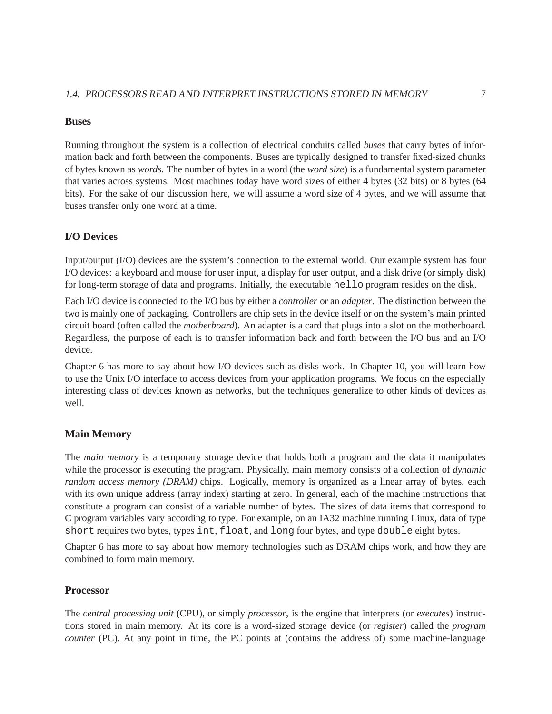# **Buses**

Running throughout the system is a collection of electrical conduits called *buses* that carry bytes of information back and forth between the components. Buses are typically designed to transfer fixed-sized chunks of bytes known as *words*. The number of bytes in a word (the *word size*) is a fundamental system parameter that varies across systems. Most machines today have word sizes of either 4 bytes (32 bits) or 8 bytes (64 bits). For the sake of our discussion here, we will assume a word size of 4 bytes, and we will assume that buses transfer only one word at a time.

### **I/O Devices**

Input/output (I/O) devices are the system's connection to the external world. Our example system has four I/O devices: a keyboard and mouse for user input, a display for user output, and a disk drive (or simply disk) for long-term storage of data and programs. Initially, the executable hello program resides on the disk.

Each I/O device is connected to the I/O bus by either a *controller* or an *adapter*. The distinction between the two is mainly one of packaging. Controllers are chip sets in the device itself or on the system's main printed circuit board (often called the *motherboard*). An adapter is a card that plugs into a slot on the motherboard. Regardless, the purpose of each is to transfer information back and forth between the I/O bus and an I/O device.

Chapter 6 has more to say about how I/O devices such as disks work. In Chapter 10, you will learn how to use the Unix I/O interface to access devices from your application programs. We focus on the especially interesting class of devices known as networks, but the techniques generalize to other kinds of devices as well.

# **Main Memory**

The *main memory* is a temporary storage device that holds both a program and the data it manipulates while the processor is executing the program. Physically, main memory consists of a collection of *dynamic random access memory (DRAM)* chips. Logically, memory is organized as a linear array of bytes, each with its own unique address (array index) starting at zero. In general, each of the machine instructions that constitute a program can consist of a variable number of bytes. The sizes of data items that correspond to C program variables vary according to type. For example, on an IA32 machine running Linux, data of type short requires two bytes, types int, float, and long four bytes, and type double eight bytes.

Chapter 6 has more to say about how memory technologies such as DRAM chips work, and how they are combined to form main memory.

### **Processor**

The *central processing unit* (CPU), or simply *processor*, is the engine that interprets (or *executes*) instructions stored in main memory. At its core is a word-sized storage device (or *register*) called the *program counter* (PC). At any point in time, the PC points at (contains the address of) some machine-language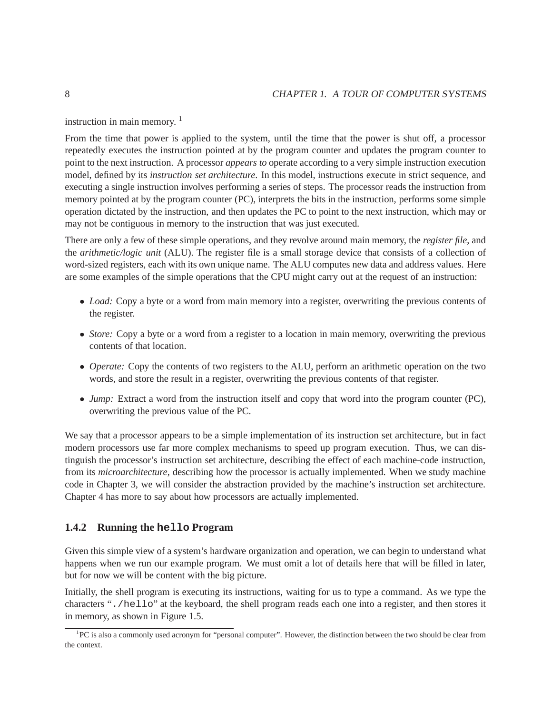instruction in main memory.<sup>1</sup>

From the time that power is applied to the system, until the time that the power is shut off, a processor repeatedly executes the instruction pointed at by the program counter and updates the program counter to point to the next instruction. A processor *appears to* operate according to a very simple instruction execution model, defined by its *instruction set architecture*. In this model, instructions execute in strict sequence, and executing a single instruction involves performing a series of steps. The processor reads the instruction from memory pointed at by the program counter (PC), interprets the bits in the instruction, performs some simple operation dictated by the instruction, and then updates the PC to point to the next instruction, which may or may not be contiguous in memory to the instruction that was just executed.

There are only a few of these simple operations, and they revolve around main memory, the *register file*, and the *arithmetic/logic unit* (ALU). The register file is a small storage device that consists of a collection of word-sized registers, each with its own unique name. The ALU computes new data and address values. Here are some examples of the simple operations that the CPU might carry out at the request of an instruction:

- *Load:* Copy a byte or a word from main memory into a register, overwriting the previous contents of the register.
- *Store:* Copy a byte or a word from a register to a location in main memory, overwriting the previous contents of that location.
- *Operate:* Copy the contents of two registers to the ALU, perform an arithmetic operation on the two words, and store the result in a register, overwriting the previous contents of that register.
- *Jump:* Extract a word from the instruction itself and copy that word into the program counter (PC), overwriting the previous value of the PC.

We say that a processor appears to be a simple implementation of its instruction set architecture, but in fact modern processors use far more complex mechanisms to speed up program execution. Thus, we can distinguish the processor's instruction set architecture, describing the effect of each machine-code instruction, from its *microarchitecture*, describing how the processor is actually implemented. When we study machine code in Chapter 3, we will consider the abstraction provided by the machine's instruction set architecture. Chapter 4 has more to say about how processors are actually implemented.

# **1.4.2 Running the hello Program**

Given this simple view of a system's hardware organization and operation, we can begin to understand what happens when we run our example program. We must omit a lot of details here that will be filled in later, but for now we will be content with the big picture.

Initially, the shell program is executing its instructions, waiting for us to type a command. As we type the characters "./hello" at the keyboard, the shell program reads each one into a register, and then stores it in memory, as shown in Figure 1.5.

<sup>&</sup>lt;sup>1</sup>PC is also a commonly used acronym for "personal computer". However, the distinction between the two should be clear from the context.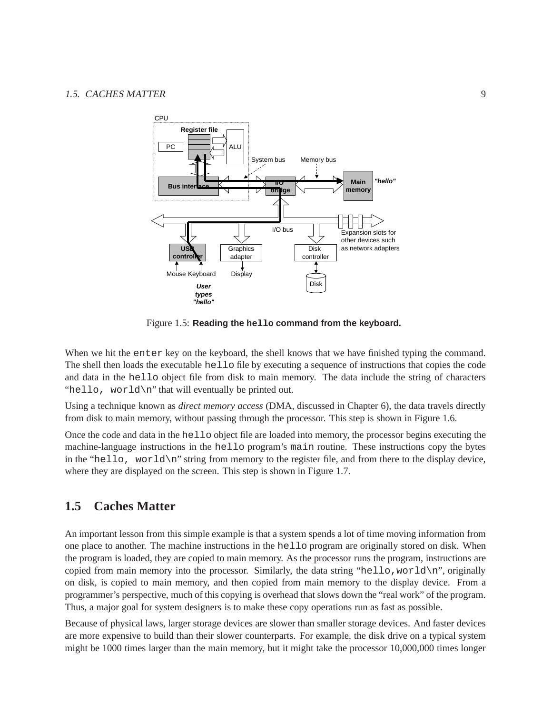

Figure 1.5: **Reading the hello command from the keyboard.**

When we hit the enter key on the keyboard, the shell knows that we have finished typing the command. The shell then loads the executable hello file by executing a sequence of instructions that copies the code and data in the hello object file from disk to main memory. The data include the string of characters "hello, world $\nabla$ " that will eventually be printed out.

Using a technique known as *direct memory access* (DMA, discussed in Chapter 6), the data travels directly from disk to main memory, without passing through the processor. This step is shown in Figure 1.6.

Once the code and data in the hello object file are loaded into memory, the processor begins executing the machine-language instructions in the hello program's main routine. These instructions copy the bytes in the "hello, world $\ln$ " string from memory to the register file, and from there to the display device, where they are displayed on the screen. This step is shown in Figure 1.7.

# **1.5 Caches Matter**

An important lesson from this simple example is that a system spends a lot of time moving information from one place to another. The machine instructions in the hello program are originally stored on disk. When the program is loaded, they are copied to main memory. As the processor runs the program, instructions are copied from main memory into the processor. Similarly, the data string "hello, world $\nabla$ n", originally on disk, is copied to main memory, and then copied from main memory to the display device. From a programmer's perspective, much of this copying is overhead that slows down the "real work" of the program. Thus, a major goal for system designers is to make these copy operations run as fast as possible.

Because of physical laws, larger storage devices are slower than smaller storage devices. And faster devices are more expensive to build than their slower counterparts. For example, the disk drive on a typical system might be 1000 times larger than the main memory, but it might take the processor 10,000,000 times longer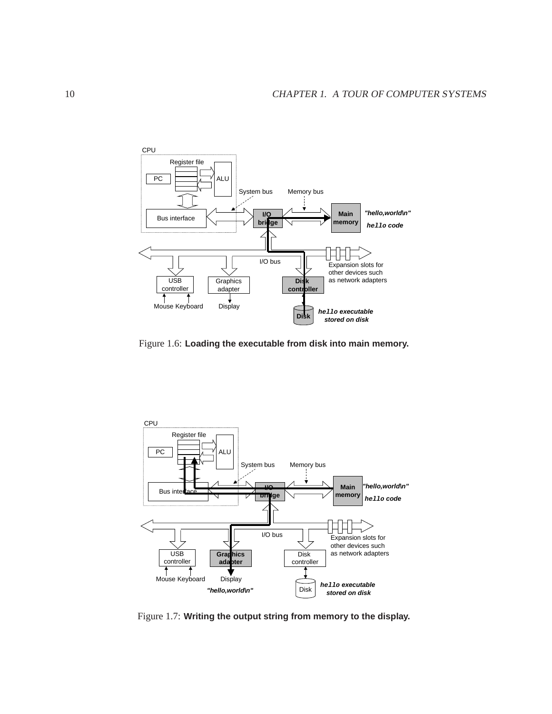

Figure 1.6: **Loading the executable from disk into main memory.**



Figure 1.7: **Writing the output string from memory to the display.**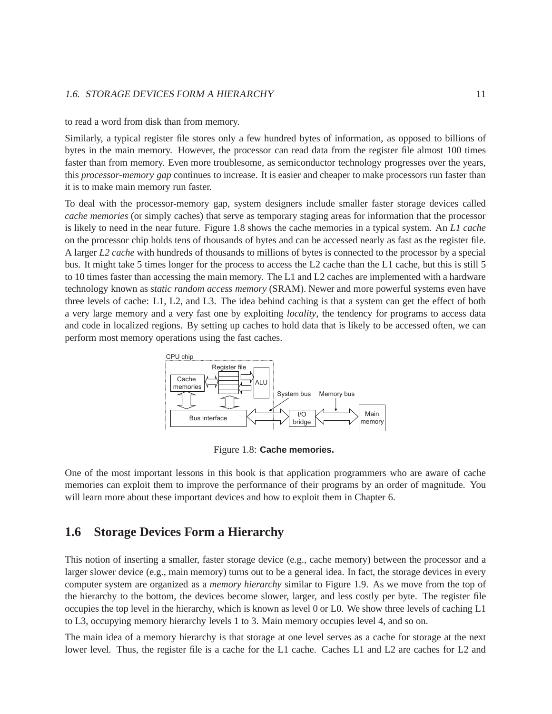# 1.6. STORAGE DEVICES FORM A HIERARCHY 11

to read a word from disk than from memory.

Similarly, a typical register file stores only a few hundred bytes of information, as opposed to billions of bytes in the main memory. However, the processor can read data from the register file almost 100 times faster than from memory. Even more troublesome, as semiconductor technology progresses over the years, this *processor-memory gap* continues to increase. It is easier and cheaper to make processors run faster than it is to make main memory run faster.

To deal with the processor-memory gap, system designers include smaller faster storage devices called *cache memories* (or simply caches) that serve as temporary staging areas for information that the processor is likely to need in the near future. Figure 1.8 shows the cache memories in a typical system. An *L1 cache* on the processor chip holds tens of thousands of bytes and can be accessed nearly as fast as the register file. A larger *L2 cache* with hundreds of thousands to millions of bytes is connected to the processor by a special bus. It might take 5 times longer for the process to access the L2 cache than the L1 cache, but this is still 5 to 10 times faster than accessing the main memory. The L1 and L2 caches are implemented with a hardware technology known as *static random access memory* (SRAM). Newer and more powerful systems even have three levels of cache: L1, L2, and L3. The idea behind caching is that a system can get the effect of both a very large memory and a very fast one by exploiting *locality*, the tendency for programs to access data and code in localized regions. By setting up caches to hold data that is likely to be accessed often, we can perform most memory operations using the fast caches.



Figure 1.8: **Cache memories.**

One of the most important lessons in this book is that application programmers who are aware of cache memories can exploit them to improve the performance of their programs by an order of magnitude. You will learn more about these important devices and how to exploit them in Chapter 6.

# **1.6 Storage Devices Form a Hierarchy**

This notion of inserting a smaller, faster storage device (e.g., cache memory) between the processor and a larger slower device (e.g., main memory) turns out to be a general idea. In fact, the storage devices in every computer system are organized as a *memory hierarchy* similar to Figure 1.9. As we move from the top of the hierarchy to the bottom, the devices become slower, larger, and less costly per byte. The register file occupies the top level in the hierarchy, which is known as level 0 or L0. We show three levels of caching L1 to L3, occupying memory hierarchy levels 1 to 3. Main memory occupies level 4, and so on.

The main idea of a memory hierarchy is that storage at one level serves as a cache for storage at the next lower level. Thus, the register file is a cache for the L1 cache. Caches L1 and L2 are caches for L2 and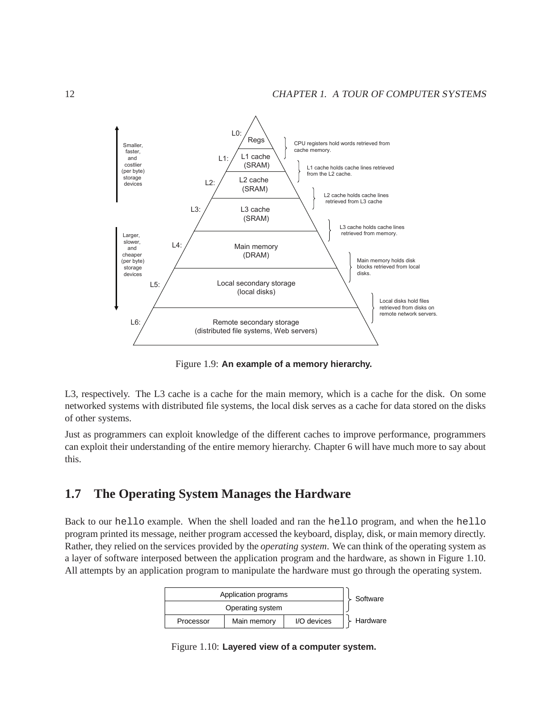

Figure 1.9: **An example of a memory hierarchy.**

L3, respectively. The L3 cache is a cache for the main memory, which is a cache for the disk. On some networked systems with distributed file systems, the local disk serves as a cache for data stored on the disks of other systems.

Just as programmers can exploit knowledge of the different caches to improve performance, programmers can exploit their understanding of the entire memory hierarchy. Chapter 6 will have much more to say about this.

# **1.7 The Operating System Manages the Hardware**

Back to our hello example. When the shell loaded and ran the hello program, and when the hello program printed its message, neither program accessed the keyboard, display, disk, or main memory directly. Rather, they relied on the services provided by the *operating system*. We can think of the operating system as a layer of software interposed between the application program and the hardware, as shown in Figure 1.10. All attempts by an application program to manipulate the hardware must go through the operating system.



Figure 1.10: **Layered view of a computer system.**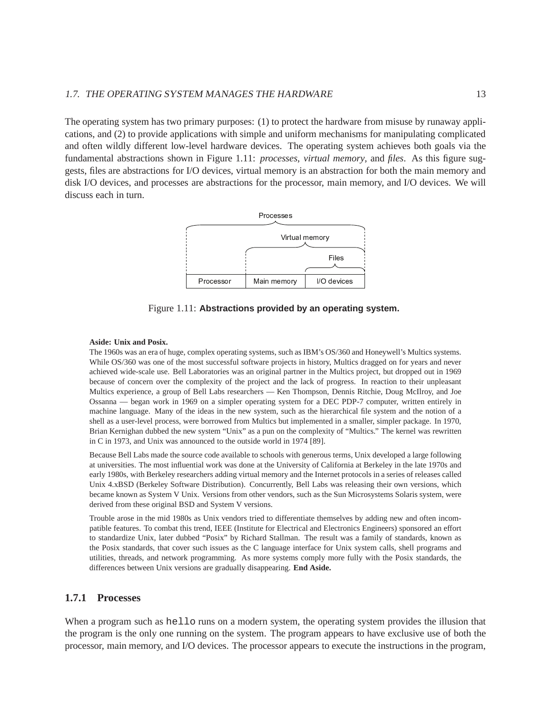### 1.7. THE OPERATING SYSTEM MANAGES THE HARDWARE 13

The operating system has two primary purposes: (1) to protect the hardware from misuse by runaway applications, and (2) to provide applications with simple and uniform mechanisms for manipulating complicated and often wildly different low-level hardware devices. The operating system achieves both goals via the fundamental abstractions shown in Figure 1.11: *processes*, *virtual memory*, and *files*. As this figure suggests, files are abstractions for I/O devices, virtual memory is an abstraction for both the main memory and disk I/O devices, and processes are abstractions for the processor, main memory, and I/O devices. We will discuss each in turn.



Figure 1.11: **Abstractions provided by an operating system.**

#### **Aside: Unix and Posix.**

The 1960s was an era of huge, complex operating systems, such as IBM's OS/360 and Honeywell's Multics systems. While OS/360 was one of the most successful software projects in history, Multics dragged on for years and never achieved wide-scale use. Bell Laboratories was an original partner in the Multics project, but dropped out in 1969 because of concern over the complexity of the project and the lack of progress. In reaction to their unpleasant Multics experience, a group of Bell Labs researchers — Ken Thompson, Dennis Ritchie, Doug McIlroy, and Joe Ossanna — began work in 1969 on a simpler operating system for a DEC PDP-7 computer, written entirely in machine language. Many of the ideas in the new system, such as the hierarchical file system and the notion of a shell as a user-level process, were borrowed from Multics but implemented in a smaller, simpler package. In 1970, Brian Kernighan dubbed the new system "Unix" as a pun on the complexity of "Multics." The kernel was rewritten in C in 1973, and Unix was announced to the outside world in 1974 [89].

Because Bell Labs made the source code available to schools with generous terms, Unix developed a large following at universities. The most influential work was done at the University of California at Berkeley in the late 1970s and early 1980s, with Berkeley researchers adding virtual memory and the Internet protocols in a series of releases called Unix 4.xBSD (Berkeley Software Distribution). Concurrently, Bell Labs was releasing their own versions, which became known as System V Unix. Versions from other vendors, such as the Sun Microsystems Solaris system, were derived from these original BSD and System V versions.

Trouble arose in the mid 1980s as Unix vendors tried to differentiate themselves by adding new and often incompatible features. To combat this trend, IEEE (Institute for Electrical and Electronics Engineers) sponsored an effort to standardize Unix, later dubbed "Posix" by Richard Stallman. The result was a family of standards, known as the Posix standards, that cover such issues as the C language interface for Unix system calls, shell programs and utilities, threads, and network programming. As more systems comply more fully with the Posix standards, the differences between Unix versions are gradually disappearing. **End Aside.**

#### **1.7.1 Processes**

When a program such as hello runs on a modern system, the operating system provides the illusion that the program is the only one running on the system. The program appears to have exclusive use of both the processor, main memory, and I/O devices. The processor appears to execute the instructions in the program,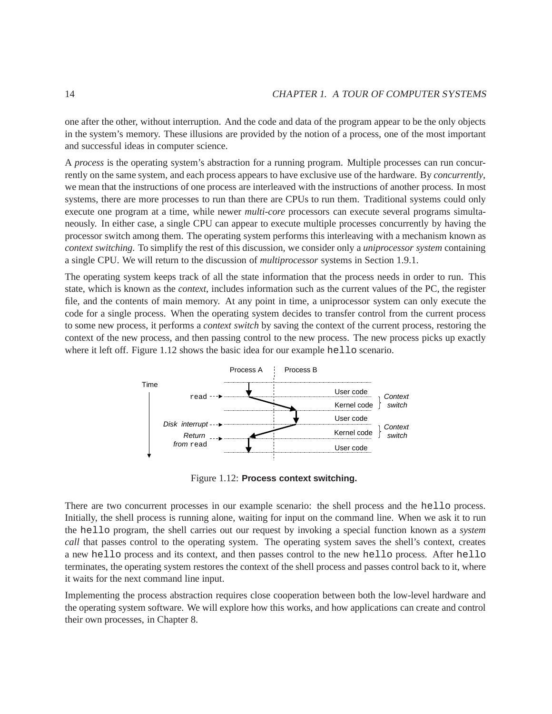one after the other, without interruption. And the code and data of the program appear to be the only objects in the system's memory. These illusions are provided by the notion of a process, one of the most important and successful ideas in computer science.

A *process* is the operating system's abstraction for a running program. Multiple processes can run concurrently on the same system, and each process appears to have exclusive use of the hardware. By *concurrently*, we mean that the instructions of one process are interleaved with the instructions of another process. In most systems, there are more processes to run than there are CPUs to run them. Traditional systems could only execute one program at a time, while newer *multi-core* processors can execute several programs simultaneously. In either case, a single CPU can appear to execute multiple processes concurrently by having the processor switch among them. The operating system performs this interleaving with a mechanism known as *context switching*. To simplify the rest of this discussion, we consider only a *uniprocessor system* containing a single CPU. We will return to the discussion of *multiprocessor* systems in Section 1.9.1.

The operating system keeps track of all the state information that the process needs in order to run. This state, which is known as the *context*, includes information such as the current values of the PC, the register file, and the contents of main memory. At any point in time, a uniprocessor system can only execute the code for a single process. When the operating system decides to transfer control from the current process to some new process, it performs a *context switch* by saving the context of the current process, restoring the context of the new process, and then passing control to the new process. The new process picks up exactly where it left off. Figure 1.12 shows the basic idea for our example hello scenario.



Figure 1.12: **Process context switching.**

There are two concurrent processes in our example scenario: the shell process and the hello process. Initially, the shell process is running alone, waiting for input on the command line. When we ask it to run the hello program, the shell carries out our request by invoking a special function known as a *system call* that passes control to the operating system. The operating system saves the shell's context, creates a new hello process and its context, and then passes control to the new hello process. After hello terminates, the operating system restores the context of the shell process and passes control back to it, where it waits for the next command line input.

Implementing the process abstraction requires close cooperation between both the low-level hardware and the operating system software. We will explore how this works, and how applications can create and control their own processes, in Chapter 8.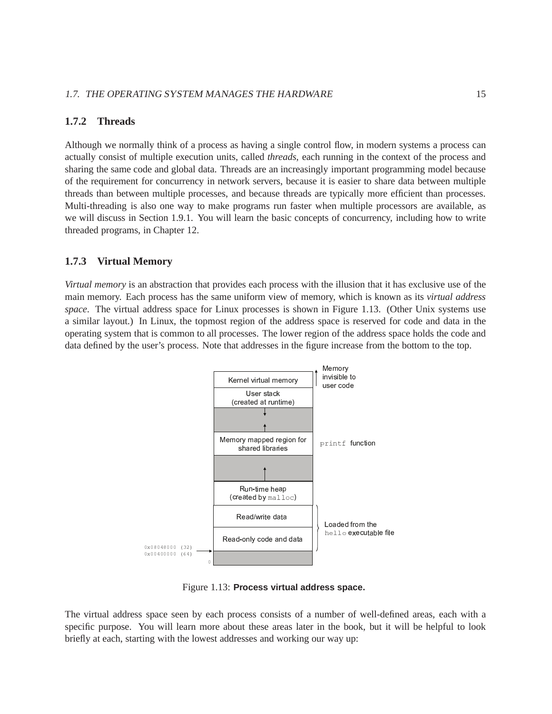# **1.7.2 Threads**

Although we normally think of a process as having a single control flow, in modern systems a process can actually consist of multiple execution units, called *threads*, each running in the context of the process and sharing the same code and global data. Threads are an increasingly important programming model because of the requirement for concurrency in network servers, because it is easier to share data between multiple threads than between multiple processes, and because threads are typically more efficient than processes. Multi-threading is also one way to make programs run faster when multiple processors are available, as we will discuss in Section 1.9.1. You will learn the basic concepts of concurrency, including how to write threaded programs, in Chapter 12.

### **1.7.3 Virtual Memory**

*Virtual memory* is an abstraction that provides each process with the illusion that it has exclusive use of the main memory. Each process has the same uniform view of memory, which is known as its *virtual address space*. The virtual address space for Linux processes is shown in Figure 1.13. (Other Unix systems use a similar layout.) In Linux, the topmost region of the address space is reserved for code and data in the operating system that is common to all processes. The lower region of the address space holds the code and data defined by the user's process. Note that addresses in the figure increase from the bottom to the top.



Figure 1.13: **Process virtual address space.**

The virtual address space seen by each process consists of a number of well-defined areas, each with a specific purpose. You will learn more about these areas later in the book, but it will be helpful to look briefly at each, starting with the lowest addresses and working our way up: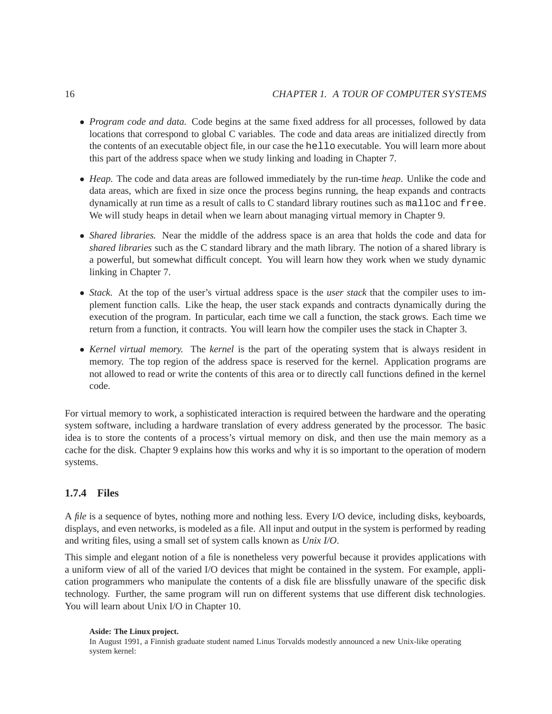- *Program code and data*. Code begins at the same fixed address for all processes, followed by data locations that correspond to global C variables. The code and data areas are initialized directly from the contents of an executable object file, in our case the hello executable. You will learn more about this part of the address space when we study linking and loading in Chapter 7.
- *Heap.* The code and data areas are followed immediately by the run-time *heap*. Unlike the code and data areas, which are fixed in size once the process begins running, the heap expands and contracts dynamically at run time as a result of calls to C standard library routines such as malloc and free. We will study heaps in detail when we learn about managing virtual memory in Chapter 9.
- *Shared libraries.* Near the middle of the address space is an area that holds the code and data for *shared libraries* such as the C standard library and the math library. The notion of a shared library is a powerful, but somewhat difficult concept. You will learn how they work when we study dynamic linking in Chapter 7.
- *Stack.* At the top of the user's virtual address space is the *user stack* that the compiler uses to implement function calls. Like the heap, the user stack expands and contracts dynamically during the execution of the program. In particular, each time we call a function, the stack grows. Each time we return from a function, it contracts. You will learn how the compiler uses the stack in Chapter 3.
- *Kernel virtual memory.* The *kernel* is the part of the operating system that is always resident in memory. The top region of the address space is reserved for the kernel. Application programs are not allowed to read or write the contents of this area or to directly call functions defined in the kernel code.

For virtual memory to work, a sophisticated interaction is required between the hardware and the operating system software, including a hardware translation of every address generated by the processor. The basic idea is to store the contents of a process's virtual memory on disk, and then use the main memory as a cache for the disk. Chapter 9 explains how this works and why it is so important to the operation of modern systems.

# **1.7.4 Files**

A *file* is a sequence of bytes, nothing more and nothing less. Every I/O device, including disks, keyboards, displays, and even networks, is modeled as a file. All input and output in the system is performed by reading and writing files, using a small set of system calls known as *Unix I/O*.

This simple and elegant notion of a file is nonetheless very powerful because it provides applications with a uniform view of all of the varied I/O devices that might be contained in the system. For example, application programmers who manipulate the contents of a disk file are blissfully unaware of the specific disk technology. Further, the same program will run on different systems that use different disk technologies. You will learn about Unix I/O in Chapter 10.

#### **Aside: The Linux project.**

In August 1991, a Finnish graduate student named Linus Torvalds modestly announced a new Unix-like operating system kernel: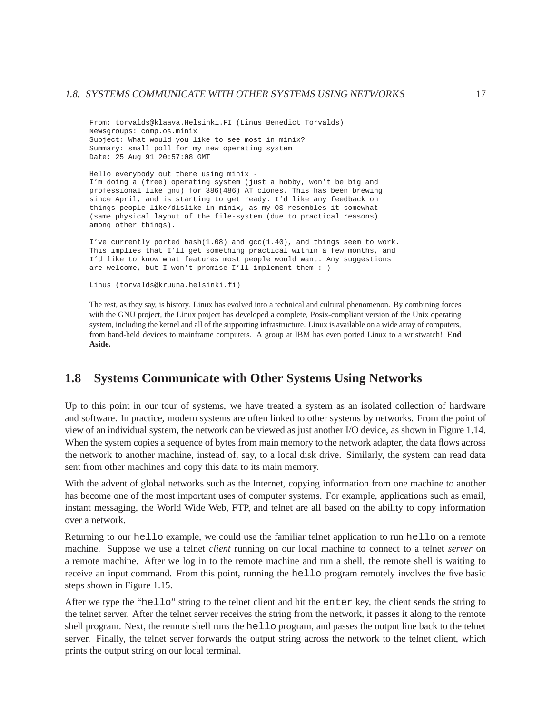```
From: torvalds@klaava.Helsinki.FI (Linus Benedict Torvalds)
Newsgroups: comp.os.minix
Subject: What would you like to see most in minix?
Summary: small poll for my new operating system
Date: 25 Aug 91 20:57:08 GMT
```
Hello everybody out there using minix - I'm doing a (free) operating system (just a hobby, won't be big and professional like gnu) for 386(486) AT clones. This has been brewing since April, and is starting to get ready. I'd like any feedback on things people like/dislike in minix, as my OS resembles it somewhat (same physical layout of the file-system (due to practical reasons) among other things).

I've currently ported bash(1.08) and gcc(1.40), and things seem to work. This implies that I'll get something practical within a few months, and I'd like to know what features most people would want. Any suggestions are welcome, but I won't promise I'll implement them :-)

Linus (torvalds@kruuna.helsinki.fi)

The rest, as they say, is history. Linux has evolved into a technical and cultural phenomenon. By combining forces with the GNU project, the Linux project has developed a complete, Posix-compliant version of the Unix operating system, including the kernel and all of the supporting infrastructure. Linux is available on a wide array of computers, from hand-held devices to mainframe computers. A group at IBM has even ported Linux to a wristwatch! **End Aside.**

# **1.8 Systems Communicate with Other Systems Using Networks**

Up to this point in our tour of systems, we have treated a system as an isolated collection of hardware and software. In practice, modern systems are often linked to other systems by networks. From the point of view of an individual system, the network can be viewed as just another I/O device, as shown in Figure 1.14. When the system copies a sequence of bytes from main memory to the network adapter, the data flows across the network to another machine, instead of, say, to a local disk drive. Similarly, the system can read data sent from other machines and copy this data to its main memory.

With the advent of global networks such as the Internet, copying information from one machine to another has become one of the most important uses of computer systems. For example, applications such as email, instant messaging, the World Wide Web, FTP, and telnet are all based on the ability to copy information over a network.

Returning to our hello example, we could use the familiar telnet application to run hello on a remote machine. Suppose we use a telnet *client* running on our local machine to connect to a telnet *server* on a remote machine. After we log in to the remote machine and run a shell, the remote shell is waiting to receive an input command. From this point, running the hello program remotely involves the five basic steps shown in Figure 1.15.

After we type the "hello" string to the telnet client and hit the enter key, the client sends the string to the telnet server. After the telnet server receives the string from the network, it passes it along to the remote shell program. Next, the remote shell runs the hello program, and passes the output line back to the telnet server. Finally, the telnet server forwards the output string across the network to the telnet client, which prints the output string on our local terminal.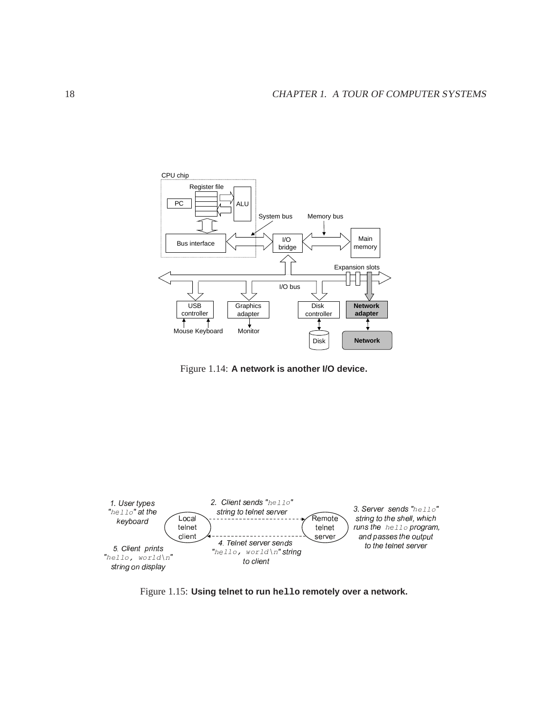

Figure 1.14: **A network is another I/O device.**



Figure 1.15: **Using telnet to run hello remotely over a network.**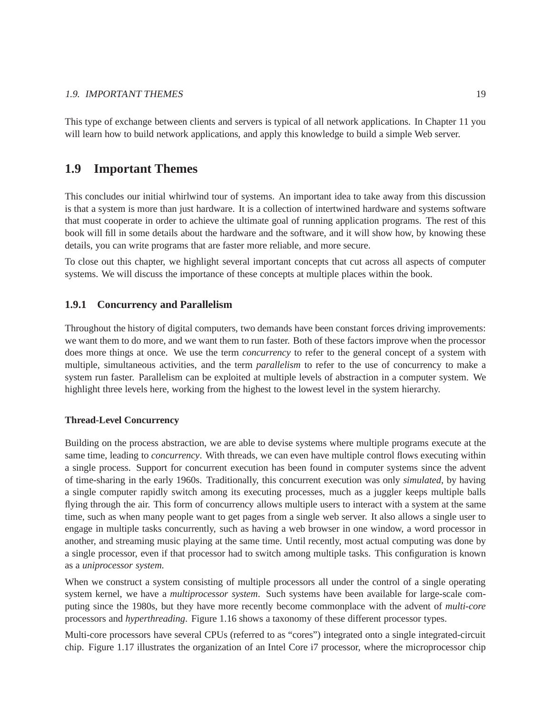### 1.9. IMPORTANT THEMES 19

This type of exchange between clients and servers is typical of all network applications. In Chapter 11 you will learn how to build network applications, and apply this knowledge to build a simple Web server.

# **1.9 Important Themes**

This concludes our initial whirlwind tour of systems. An important idea to take away from this discussion is that a system is more than just hardware. It is a collection of intertwined hardware and systems software that must cooperate in order to achieve the ultimate goal of running application programs. The rest of this book will fill in some details about the hardware and the software, and it will show how, by knowing these details, you can write programs that are faster more reliable, and more secure.

To close out this chapter, we highlight several important concepts that cut across all aspects of computer systems. We will discuss the importance of these concepts at multiple places within the book.

### **1.9.1 Concurrency and Parallelism**

Throughout the history of digital computers, two demands have been constant forces driving improvements: we want them to do more, and we want them to run faster. Both of these factors improve when the processor does more things at once. We use the term *concurrency* to refer to the general concept of a system with multiple, simultaneous activities, and the term *parallelism* to refer to the use of concurrency to make a system run faster. Parallelism can be exploited at multiple levels of abstraction in a computer system. We highlight three levels here, working from the highest to the lowest level in the system hierarchy.

#### **Thread-Level Concurrency**

Building on the process abstraction, we are able to devise systems where multiple programs execute at the same time, leading to *concurrency*. With threads, we can even have multiple control flows executing within a single process. Support for concurrent execution has been found in computer systems since the advent of time-sharing in the early 1960s. Traditionally, this concurrent execution was only *simulated*, by having a single computer rapidly switch among its executing processes, much as a juggler keeps multiple balls flying through the air. This form of concurrency allows multiple users to interact with a system at the same time, such as when many people want to get pages from a single web server. It also allows a single user to engage in multiple tasks concurrently, such as having a web browser in one window, a word processor in another, and streaming music playing at the same time. Until recently, most actual computing was done by a single processor, even if that processor had to switch among multiple tasks. This configuration is known as a *uniprocessor system.*

When we construct a system consisting of multiple processors all under the control of a single operating system kernel, we have a *multiprocessor system*. Such systems have been available for large-scale computing since the 1980s, but they have more recently become commonplace with the advent of *multi-core* processors and *hyperthreading*. Figure 1.16 shows a taxonomy of these different processor types.

Multi-core processors have several CPUs (referred to as "cores") integrated onto a single integrated-circuit chip. Figure 1.17 illustrates the organization of an Intel Core i7 processor, where the microprocessor chip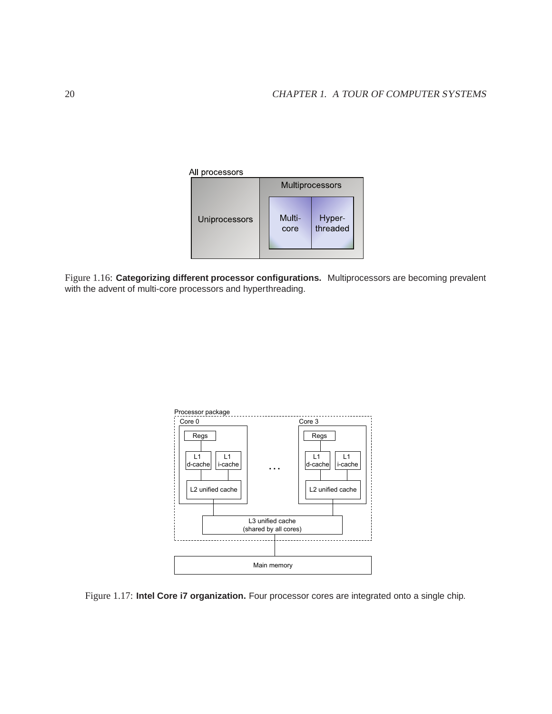All processors

|               | Multiprocessors |                    |  |  |  |  |  |  |
|---------------|-----------------|--------------------|--|--|--|--|--|--|
| Uniprocessors | Multi-<br>core  | Hyper-<br>threaded |  |  |  |  |  |  |

Figure 1.16: **Categorizing different processor configurations.** Multiprocessors are becoming prevalent with the advent of multi-core processors and hyperthreading.



Figure 1.17: **Intel Core i7 organization.** Four processor cores are integrated onto a single chip.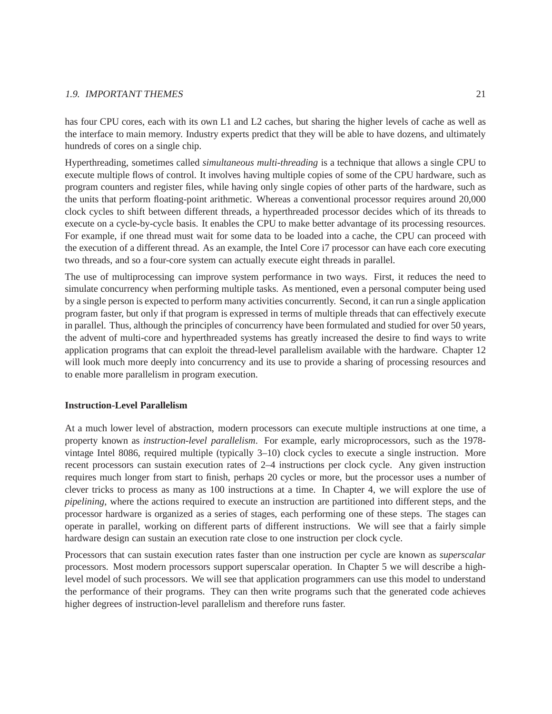### 1.9. IMPORTANT THEMES 21

has four CPU cores, each with its own L1 and L2 caches, but sharing the higher levels of cache as well as the interface to main memory. Industry experts predict that they will be able to have dozens, and ultimately hundreds of cores on a single chip.

Hyperthreading, sometimes called *simultaneous multi-threading* is a technique that allows a single CPU to execute multiple flows of control. It involves having multiple copies of some of the CPU hardware, such as program counters and register files, while having only single copies of other parts of the hardware, such as the units that perform floating-point arithmetic. Whereas a conventional processor requires around 20,000 clock cycles to shift between different threads, a hyperthreaded processor decides which of its threads to execute on a cycle-by-cycle basis. It enables the CPU to make better advantage of its processing resources. For example, if one thread must wait for some data to be loaded into a cache, the CPU can proceed with the execution of a different thread. As an example, the Intel Core i7 processor can have each core executing two threads, and so a four-core system can actually execute eight threads in parallel.

The use of multiprocessing can improve system performance in two ways. First, it reduces the need to simulate concurrency when performing multiple tasks. As mentioned, even a personal computer being used by a single person is expected to perform many activities concurrently. Second, it can run a single application program faster, but only if that program is expressed in terms of multiple threads that can effectively execute in parallel. Thus, although the principles of concurrency have been formulated and studied for over 50 years, the advent of multi-core and hyperthreaded systems has greatly increased the desire to find ways to write application programs that can exploit the thread-level parallelism available with the hardware. Chapter 12 will look much more deeply into concurrency and its use to provide a sharing of processing resources and to enable more parallelism in program execution.

#### **Instruction-Level Parallelism**

At a much lower level of abstraction, modern processors can execute multiple instructions at one time, a property known as *instruction-level parallelism*. For example, early microprocessors, such as the 1978 vintage Intel 8086, required multiple (typically 3–10) clock cycles to execute a single instruction. More recent processors can sustain execution rates of 2–4 instructions per clock cycle. Any given instruction requires much longer from start to finish, perhaps 20 cycles or more, but the processor uses a number of clever tricks to process as many as 100 instructions at a time. In Chapter 4, we will explore the use of *pipelining*, where the actions required to execute an instruction are partitioned into different steps, and the processor hardware is organized as a series of stages, each performing one of these steps. The stages can operate in parallel, working on different parts of different instructions. We will see that a fairly simple hardware design can sustain an execution rate close to one instruction per clock cycle.

Processors that can sustain execution rates faster than one instruction per cycle are known as *superscalar* processors. Most modern processors support superscalar operation. In Chapter 5 we will describe a highlevel model of such processors. We will see that application programmers can use this model to understand the performance of their programs. They can then write programs such that the generated code achieves higher degrees of instruction-level parallelism and therefore runs faster.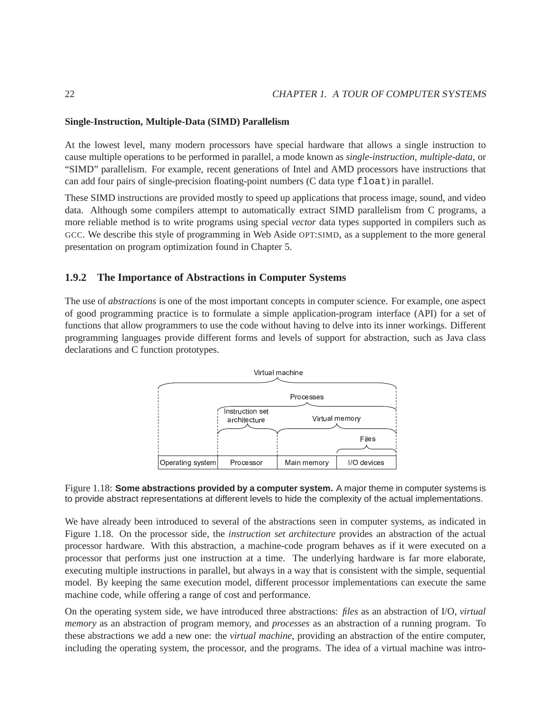### **Single-Instruction, Multiple-Data (SIMD) Parallelism**

At the lowest level, many modern processors have special hardware that allows a single instruction to cause multiple operations to be performed in parallel, a mode known as *single-instruction, multiple-data*, or "SIMD" parallelism. For example, recent generations of Intel and AMD processors have instructions that can add four pairs of single-precision floating-point numbers (C data type  $f$ loat) in parallel.

These SIMD instructions are provided mostly to speed up applications that process image, sound, and video data. Although some compilers attempt to automatically extract SIMD parallelism from C programs, a more reliable method is to write programs using special *vector* data types supported in compilers such as GCC. We describe this style of programming in Web Aside OPT:SIMD, as a supplement to the more general presentation on program optimization found in Chapter 5.

# **1.9.2 The Importance of Abstractions in Computer Systems**

The use of *abstractions* is one of the most important concepts in computer science. For example, one aspect of good programming practice is to formulate a simple application-program interface (API) for a set of functions that allow programmers to use the code without having to delve into its inner workings. Different programming languages provide different forms and levels of support for abstraction, such as Java class declarations and C function prototypes.



Figure 1.18: **Some abstractions provided by a computer system.** A major theme in computer systems is to provide abstract representations at different levels to hide the complexity of the actual implementations.

We have already been introduced to several of the abstractions seen in computer systems, as indicated in Figure 1.18. On the processor side, the *instruction set architecture* provides an abstraction of the actual processor hardware. With this abstraction, a machine-code program behaves as if it were executed on a processor that performs just one instruction at a time. The underlying hardware is far more elaborate, executing multiple instructions in parallel, but always in a way that is consistent with the simple, sequential model. By keeping the same execution model, different processor implementations can execute the same machine code, while offering a range of cost and performance.

On the operating system side, we have introduced three abstractions: *files* as an abstraction of I/O, *virtual memory* as an abstraction of program memory, and *processes* as an abstraction of a running program. To these abstractions we add a new one: the *virtual machine*, providing an abstraction of the entire computer, including the operating system, the processor, and the programs. The idea of a virtual machine was intro-